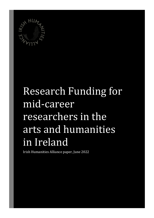

# Research Funding for mid-career researchers in the arts and humanities in Ireland

Irish Humanities Alliance paper, June 2022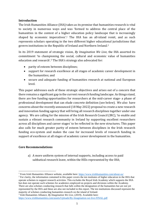### **Introduction**

The Irish Humanities Alliance (IHA) takes as its premise that humanities research is vital to society in numerous ways and was 'formed to address the central place of the humanities in the context of a higher education policy landscape that is increasingly shaped by economic imperatives'.<sup>1</sup> The IHA has an all-island remit, and as such represents scholars operating in the two different higher educational jurisdictions that govern institutions in the Republic of Ireland and Northern Ireland.<sup>2</sup>

In its 2019 statement of strategic vision, *By Imagination We Live*, the IHA asserted its commitment 'to championing the social, cultural and economic value of humanities education and research'.<sup>3</sup> The IHA's strategy also advocated for:

- parity of esteem between disciplines;
- support for research excellence at all stages of academic career development in the humanities; and
- secure and adequate funding of humanities research at national and European level.

This paper addresses each of these strategic objectives and arises out of a concern that there remains a significant gap in the current research funding landscape. As things stand, there are few funding opportunities for researchers at the mid-career stage- a phase of professional development that can elude concrete definition (see below). We also have concerns about the recently announced (18 May 2022) proposal to create a new research and innovation funding agency that will bring all research disciplines together under one agency. We are calling for the mission of the Irish Research Council (IRC), 'to enable and sustain a vibrant research community in Ireland by supporting excellent researchers across all disciplines and career stages' to be reflected in the new structures. This paper also calls for much greater parity of esteem between disciplines in the Irish research funding eco-system and makes the case for increased levels of research funding in support of excellence at all stages of academic career development in the humanities.

## **Core Recommendations**

a) A more uniform system of internal supports, including access to paid sabbatical research leave, within the HEIs represented by the IHA;

<sup>1</sup> From Irish Humanities Alliance website, available here:<https://www.irishhumanities.com/about-us/>

<sup>&</sup>lt;sup>2</sup> For clarity, the information contained in this paper covers the ten institutes of higher education in the IHA that operate schemes to support research activities. This excludes the Royal Irish Academy which supports the IHA but does not operate such schemes for academics employed on projects and divisions within the Academy. There are also scholars conducting research that falls within the designation of the humanities but are not yet represented by the IHA and these are also not included in this report. The ten institutions discussed represent the majority of scholars conducting humanities research on the island of Ireland.

<sup>3</sup> Irish Humanities Alliance, *By Imagination We Live*, (2019). Available here: <https://www.irishhumanities.com/assets/Uploads/By-Imagination-we-live-FINAL.pdf>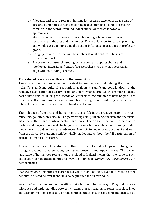- b) Adequate and secure research funding for research excellence at all stage of arts and humanities career development that support all kinds of research common in the sector, from individual endeavours to collaborative approaches.
- c) More secure, and predictable, research funding schemes for mid-career researchers in the arts and humanities. This would allow for career planning and would assist in improving the gender imbalance in academia at professor grade.
- d) Bringing Ireland into line with best international practice in terms of research support.
- e) Advocate for a research funding landscape that supports choice and intellectual integrity and caters for researchers who may not necessarily align with EU funding schemes.

## **The value of research excellence in the humanities**

The arts and humanities have been central to creating and maintaining the island of Ireland's significant cultural reputation, making a significant contribution to the reflective exploration of literary, visual and performance arts which are such a strong part of Irish culture. During the Decade of Centenaries, the humanities have helped us to process, reflect and understand a complex history, while fostering awareness of intercultural differences in a new, multi-cultural Ireland.

The influence of the arts and humanities are also felt in the creative sector – through museums, galleries, libraries, music, performing arts, publishing, tourism and the visual arts, the cultural and heritage sectors and more. The arts and humanities help us to understand the grand societal challenges that face us in the environment, demographics, medicine and rapid technological advances. Attempts to understand, document and learn from the Covid-19 pandemic will be wholly inadequate without the full participation of arts and humanities research.

Arts and humanities scholarship is multi-directional: it creates loops of exchange and dialogue between diverse pasts, contested presents and open futures The varied landscape of humanities research on the island of Ireland means that the value of such endeavours can be traced in multiple ways as Holm et al., *Humanities World Report 2015* demonstrates:

*Intrinsic value:* humanities research has a value in and of itself. Even if it leads to other benefits (as listed below), it should also be pursued for its own sake.

*Social value:* the humanities benefit society in a number of ways. They help create tolerance and understanding between citizens, thereby leading to social cohesion. They aid decision-making, especially on the complex ethical issues that confront society as a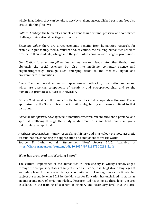whole. In addition, they can benefit society by challenging established positions (see also 'critical thinking' below).

*Cultural heritage:* the humanities enable citizens to understand, preserve and sometimes challenge their national heritage and culture.

*Economic value:* there are direct economic benefits from humanities research, for example in publishing, media, tourism and, of course, the training humanities scholars provide to their students, who go into the job market across a wide range of professions.

*Contribution to other disciplines:* humanities research feeds into other fields, most obviously the social sciences, but also into medicine, computer science and engineering/design through such emerging fields as the medical, digital and environmental humanities.

*Innovation:* the humanities deal with questions of motivation, organisation and action, which are essential components of creativity and entrepreneurship, and so the humanities promote a culture of innovation.

*Critical thinking:* it is of the essence of the humanities to develop critical thinking. This is epitomised by the Socratic tradition in philosophy, but by no means confined to that discipline.

*Personal and spiritual development*: humanities research can enhance one's personal and spiritual wellbeing through the study of different texts and traditions – religious, philosophical or spiritual.

*Aesthetic appreciation*: literary research, art history and musicology promote aesthetic discrimination, enhancing the appreciation and enjoyment of artistic works

Source: P. Holm et al., *Humanities World Report 2015*. Available at [https://link.springer.com/content/pdf/10.1057/9781137500281\\_2.pdf](https://link.springer.com/content/pdf/10.1057/9781137500281_2.pdf)

## **What has prompted this Working Paper?**

The cultural importance of the humanities in Irish society is widely acknowledged through the compulsory status of subjects such as History, Irish, English and languages at secondary level. In the case of history, a commitment to keeping it as a core timetabled subject at second level in 2019 by the Minister for Education has enshrined its status as an important part of civic knowledge. Research led teaching at third level ensures excellence in the training of teachers at primary and secondary level thus the arts,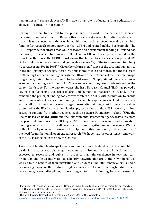humanities and social sciences (AHSS) have a vital role in educating future educators at all levels of education in Ireland. <sup>4</sup>

Heritage sites are frequented by the public and the Covid-19 pandemic has seen an increase in domestic tourism. Despite this, the current research funding landscape in Ireland is unbalanced with the arts, humanities and social sciences receiving much less funding for research related activities than STEM and related fields. For example, The HERD report demonstrates that while research and development funding in Ireland has increased, our levels of funding are well below our EU country 28 peers covered by the report. Furthermore, the HERD report shows that humanities researchers represent 8% of the total pool of researchers and yet receive a mere 5% of the total research funding ( a decrease from 8% in 2008).<sup>5</sup> Given the cultural significance of the arts and humanities in Ireland (history, language, literature, philosophy, music, and more), and their success in attracting European funding through the ERC and others strands of the Horizon Europe programme, this imbalance needs to be addressed. Simply stated there are fewer avenues for funding available to AHSS researchers and they are disadvantaged in the current landscape. For the past ten years, the Irish Research Council (IRC) has played a key role in furthering the cause of arts and humanities research in Ireland. It has remained the principal funding body for research in the AHSS with its mission 'to enable and sustain a vibrant research community in Ireland by supporting excellent researchers across all disciplines and career stages' resonating strongly with the core values promoted by the IHA. In the current landscape, researchers in the AHSS have very limited access to funding from other agencies such as Science Foundation Ireland (SFI), the Health Research Board (HRB) and the Environmental Protection Agency (EPA). We note the proposal, announced on 18 May 2022, to create a new research and innovation funding agency that will bring all research disciplines together under one agency. We are calling for parity of esteem between all disciplines in this new agency and recognition of the need for fundamental, open ended research. We hope that the ethos, legacy and work of the IRC is reflected in the new structures.

The current funding landscape for arts and humanities in Ireland, and in the Republic in particular, creates real challenges. Academics in Ireland, across all disciplines, are expected to research and publish in order to maintain excellence in teaching, gain promotion and foster international scholarly networks that are to their own benefit as well as to the benefit of their institution and students. The 2008 financial crisis had a devastating impact on the funding of higher education in Ireland. Funding fell sharply and researchers, across disciplines, have struggled to attract funding for their research.

<sup>4</sup> For further reflections on this see Jennifer Redmond ' Why the study of history is so crucial for our society', RTE Brainstorm, October 2019, available at https://www.rte.ie/brainstorm/2019/1003/1080857-why-the-studyof-history-is-so-crucial-for-our-society/

<sup>5</sup> Higher Education Research and Development Survey 2018-2019, available at: <https://www.gov.ie/en/publication/00d67-higher-education-research-and-development-survey-2018-2019/>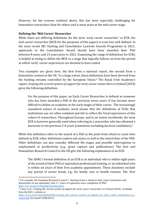However, for the reasons outlined above, this has been especially challenging for humanities researchers than for others and is most acute at the mid-career stage.

### **Defining the 'Mid-Career' Researcher**

While there are differing definitions for the term 'early career researcher' or ECR, the mid-career researcher (MCR for the purposes of this paper) is even less well defined. In the most recent IRC Starting and Consolidator Laureate Awards Programme in 2021, applicants to the Consolidator Award should have been awarded their PhD between 8 years and 15 years prior to 2021. Examining the range of definitions for ECRs is helpful in trying to define the MCR as a stage that logically follows on from the period at which 'early' career experiences are deemed to have ended.

Two examples are given here, the first from a national report, the second from a humanities context in the UK. To a large extent, these definitions have been derived from the funding streams controlled by the European Union.<sup>6</sup> The Royal Irish Academy's report, *Scoping the current system of support for early career researchers in Ireland* (2018) gives the following definition:

For the purpose of this paper, an Early Career Researcher is defined as someone who has been awarded a PhD in the previous seven years. It has become more difficult to define an academic in the early stages of their career. The increasingly casualised nature of academic work means that the definitions of ECRs that institutions use are often outdated and fail to reflect the lived experiences of this cohort of researchers. Throughout Europe, and to an extent worldwide, the term ECR is however generally used when referring to a researcher who has obtained a doctorate in the previous 5-8 years (sometimes including doctoral candidates).<sup>7</sup>

While this definition refers to the award of a PhD as the point from which to count time defined as ECR, other definitions explore job status *as well as* the award date of the PhD. Other definitions can also consider different life stages and possible interruptions to employment or productivity (e.g., grant capture and publications). The Arts and Humanities Research Council in the UK give the following explanation of an ECR:

The AHRC's formal definition of an ECR is an individual who is within eight years of the award of their PhD or equivalent professional training, or an individual who is within six years of their first academic appointment. These durations exclude any period of career break, e.g., for family care or health reasons. The 'first

<sup>6</sup> For example, the European Research Council's Starting Grant is aimed at early career researchers and Researchers of any nationality with 2-7 years of experience since completion of PhD <https://erc.europa.eu/funding/starting-grants>

<sup>&</sup>lt;sup>7</sup> Carey et al., *Scoping the current system of support for early career researchers in Ireland* (2018) Available from the RIA's website at

[https://www.ria.ie/sites/default/files/scoping\\_the\\_current\\_system\\_of\\_support\\_for\\_early\\_career\\_researchers\\_in\\_i](https://www.ria.ie/sites/default/files/scoping_the_current_system_of_support_for_early_career_researchers_in_ireland.pdf) [reland.pdf](https://www.ria.ie/sites/default/files/scoping_the_current_system_of_support_for_early_career_researchers_in_ireland.pdf) [Accessed 23/08/2021].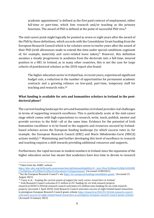academic appointment' is defined as the first paid contract of employment, either full-time or part-time, which lists research and/or teaching as the primary functions. The award of PhD is defined at the point of successful PhD viva.<sup>8</sup>

The mid-career point might logically be posited as seven or eight years after the award of the PhD by these definitions, which accords with the Consolidator Grant funding from the European Research Council which is for scholars seven to twelve years after the award of their PhD (with allowances made to extend this time under special conditions cognisant of, for example, maternity and carer-related leave taken).<sup>9</sup> However, this definition assumes a steady progression in academia from the doctorate into a full-time, tenured position in a HEI. In Ireland, as in many other countries, this is not the case for large cohorts of postdoctoral scholars as the 2018 report also found:

The higher education sector in Ireland has, in recent years, experienced significant budget cuts, a reduction in the number of opportunities for permanent academic contracts and a growing reliance on low-paid, part-time, temporary staff for teaching and research roles.<sup>10</sup>

## **What funding is available for arts and humanities scholars in Ireland in the postdoctoral phase?**

The current funding landscape for arts and humanities in Ireland provides real challenges in terms of supporting research excellence. This is particularly acute at the mid-career stage which comes with high expectations to research, write, teach, publish, mentor and provide services to the field—all at the same time. Evidence for the potential of Irish humanities excellence is to be found in the supports and resources secured by Irelandbased scholars across the European funding landscape (to which success rates in, for example, the European Research Council (ERC) and Marie Skłodowska-Curie (MSCA) actions testify).<sup>11</sup> Maintaining and further developing this level of excellence in research and teaching requires a shift towards providing additional resources and supports.

Furthermore, the rapid increase in student numbers in Ireland since the expansion of the higher education sector has meant that academics have less time to devote to research

research.ie/2018/11/29/irish-research-council-welcomes-e12-million-ineu-funding-for-six-irish-researchprojects/ [accessed 2 April 2019]; Irish Research Council welcomes success of eight Ireland-based researchers in prestigious European Research Council grants scheme [https://research.ie/2022/01/10/irish-research-council](https://research.ie/2022/01/10/irish-research-council-welcomes-success-of-eight-ireland-based-researchers-in-prestigious-european-research-council-grants-scheme/)[welcomes-success-of-eight-ireland-based-researchers-in-prestigious-european-research-council-grants-scheme/](https://research.ie/2022/01/10/irish-research-council-welcomes-success-of-eight-ireland-based-researchers-in-prestigious-european-research-council-grants-scheme/)  [Accessed 14 January 2022]

<sup>8</sup> Taken from the AHRC website

[https://ahrc.ukri.org/skills/earlycareerresearchers/definitionofeligibility/#:~:text=How%20does%20the%20AHR](https://ahrc.ukri.org/skills/earlycareerresearchers/definitionofeligibility/#:~:text=How%20does%20the%20AHRC%20define,of%20their%20first%20academic%20appointment) [C%20define,of%20their%20first%20academic%20appointment.](https://ahrc.ukri.org/skills/earlycareerresearchers/definitionofeligibility/#:~:text=How%20does%20the%20AHRC%20define,of%20their%20first%20academic%20appointment) [Accessed 23/08/2021].

<sup>&</sup>lt;sup>9</sup> See the European Research Council's site<https://erc.europa.eu/funding/consolidator-grants>[Accessed 23 August 2021].

<sup>10</sup> Carey et al*., Scoping the current system of support for early career researchers in Ireland*.

<sup>&</sup>lt;sup>11</sup> Irish Research Council welcomes  $612$  million in EU funding for six Irish research projects: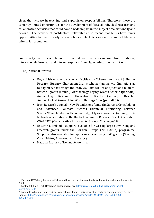given the increase in teaching and supervision responsibilities. Therefore, there are currently limited opportunities for the development of focused individual research and collaborative activities that could have a wide impact in the subject area, nationally and beyond. The scarcity of postdoctoral fellowships also means that MCRs have fewer opportunities to mentor early career scholars which is also used by some HEIs as a criteria for promotion.

For clarity we have broken these down to information from national, international/European and internal supports from higher education institutions.

- (A) National Awards
	- Royal Irish Academy Nowlan Digitisation Scheme (annual); R.J. Hunter Research Bursary; Charlemont Grants scheme (annual with limitations as to eligibility that bridge the ECR/MCR divide); Ireland/Scotland bilateral network grants (annual); Archaeology Legacy Grants Scheme (periodic); Archaeology Research Excavation Grants (annual); Directed Archaeological Research for World Heritage Sites (periodic). 12
	- Irish Research Council New Foundations (annual); Starting, Consolidator and Advanced Laureate Awards (biannual alternating between Starter/Consolidator with Advanced); Ulysses awards (annual); UK-Ireland Collaboration in the Digital Humanities Research Grants (periodic); COALESCE (Collaborative Alliances for Societal Challenges). 13
	- Enterprise Ireland supports available for writing large networking and research grants under the Horizon Europe (2021-2027) programme. Supports also available for applicants developing ERC grants (Starting, Consolidator, Advanced and Synergy) .
	- National Library of Ireland fellowship.<sup>14</sup>

<sup>&</sup>lt;sup>12</sup> The Eoin O'Mahony bursary, which would have provided annual funds for humanities scholars, finished in 2020.

<sup>&</sup>lt;sup>13</sup> For the full list of Irish Research Council awards see [https://research.ie/funding-category/principal](https://research.ie/funding-category/principal-investigator-led/)[investigator-led/](https://research.ie/funding-category/principal-investigator-led/)

<sup>&</sup>lt;sup>14</sup> Available to both pre- and post-doctoral scholars but in reality more of an early career opportunity. See here for more [https://www.nli.ie/en/udlist/current-opportunities.aspx?article=2433d49e-6a2f-4df0-b363](https://www.nli.ie/en/udlist/current-opportunities.aspx?article=2433d49e-6a2f-4df0-b363-d79b0f81a0d3) [d79b0f81a0d3](https://www.nli.ie/en/udlist/current-opportunities.aspx?article=2433d49e-6a2f-4df0-b363-d79b0f81a0d3)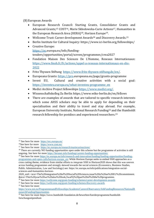(B)European Awards

- European Research Council: Starting Grants, Consolidator Grants and Advanced Grants; <sup>15</sup> COST16, Marie Skłodowska-Curie Actions17, Humanities in the European Research Area (HERA) <sup>18</sup>, Horizon Europe19.
- Wellcome Trust: Career development Awards<sup>20</sup> and Discovery Awards.<sup>21</sup>
- Berlin Institute for Cultural Inquiry: https://www.ici-berlin.org/fellowships/
- Creative Europe: [https://ec.](https://ec/)europa.eu/info/fundingtenders/opportunities/portal/screen/programmes/crea2027
- Fondation Maison Des Sciences De L'Homme, Reseaux Internationaux: [https://www.fmsh.fr/fr/actions/appel-a-reseaux-internationaux-en-shs-](https://www.fmsh.fr/fr/actions/appel-a-reseaux-internationaux-en-shs-2022)[2022](https://www.fmsh.fr/fr/actions/appel-a-reseaux-internationaux-en-shs-2022)
- Fritz Thyssen Stiftung [https://www.fritz-thyssen-stiftung.de/en/.](https://www.fritz-thyssen-stiftung.de/en/)
- Europeana Grants: [https://pro.](https://pro/)europeana.eu/page/grants-programme
- Invest EU, Cultural and creative activities with a social goal: [https://investeu.europa.eu/what-investeu-programme\\_en](https://investeu.europa.eu/what-investeu-programme_en)
- Medici Archive Project fellowships https://www.medici.org/.
- Wissenschaftskolleg Zu Berlin https://www.wiko-berlin.de/en/fellows
- There are examples of awards that are tailored to specific research interests which some AHSS scholars *may* be able to apply for depending on their specialisation and their ability to travel and stay abroad. For example, European University Institute, National Research Funding<sup>22</sup> and the Humboldt research fellowship for postdocs and experienced researchers. 23

<sup>15</sup> See here for more <https://erc.europa.eu/>

<sup>16</sup>See here for more <https://www.cost.eu/>

<sup>&</sup>lt;sup>17</sup> See here for more <https://ec.europa.eu/research/mariecurieactions/>

<sup>&</sup>lt;sup>18</sup> There are currently NO funding opportunities open under this scheme but the programme of activities is still ongoing. See here for mor[e https://heranet.info/funding/current-funding-opportunities/](https://heranet.info/funding/current-funding-opportunities/)

<sup>19</sup> See here for more [https://ec.europa.eu/info/research-and-innovation/funding/funding-opportunities/funding](https://ec.europa.eu/info/research-and-innovation/funding/funding-opportunities/funding-programmes-and-open-calls/horizon-europe_en)[programmes-and-open-calls/horizon-europe\\_en;](https://ec.europa.eu/info/research-and-innovation/funding/funding-opportunities/funding-programmes-and-open-calls/horizon-europe_en) While Horizon Europe seeks to embed SSH approaches as a cross cutting theme, evidence from similar efforts to *integrate* SSH in Horizon2020 shows that this was uneven across funding programmes and strongly skewed towards the social sciences (Economics, Business Studies, Public Administration, Law and Sociology) see: https://ec.europa.eu/info/publications/integration-socialsciences-and-humanities-horizon-

<sup>2020</sup>\_en#:~:text=The%20integration%20of%20Social%20Sciences,issue%20is%20an%20EU%20commitment. &text=This%20year%20we%20also%20look,SwafS)%20part%20of%20the%20programme.

<sup>20</sup> See here for more<https://wellcome.org/grant-funding/schemes/career-development-awards>

<sup>&</sup>lt;sup>21</sup> See here for more<https://wellcome.org/grant-funding/schemes/discovery-awards>

<sup>22</sup> See here for more

[https://www.eui.eu/ProgrammesandFellowships/AcademicCareersObservatory/JobFundingResources/NationalR](https://www.eui.eu/ProgrammesandFellowships/AcademicCareersObservatory/JobFundingResources/NationalResearchFundingOpportunities) [esearchFundingOpportunities](https://www.eui.eu/ProgrammesandFellowships/AcademicCareersObservatory/JobFundingResources/NationalResearchFundingOpportunities)

<sup>&</sup>lt;sup>23</sup> See here for more https://www.humboldt-foundation.de/bewerben/foerderprogramme/humboldtforschungsstipendium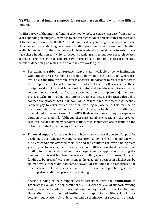## **(C) What internal funding supports for research are available within the HEIs in Ireland?**

An IHA survey of the internal funding schemes (which, of course, can vary from year to year depending on budgets), provided by the ten higher education institutes on the island of Ireland, represented by the IHA, reveal a rather divergent range of supports in terms of frequency of availability, guarantees of funding per annum and the amount of funding available. Some HEIs offer schemes available to academics from all departments, others have these in addition to faculty or school specific grants to support research related activities. This means that scholars have more or less support for research related activities depending on which institution they are working in.

- For example, **sabbatical research leave** is not available in some institutions while the criteria for sabbatical are not uniform in those institutions where it is available. Sabbatical research leave is of critical importance to researchers across the full spectrum of the arts, humanities, and social sciences. Researchers in these disciplines do not by and large work in labs, and therefore require sabbatical research leave in order to find the space and time to complete major research projects. Scholars in some institutions are able to access sabbaticals through a competitive process with full pay, while others have to accept significantly reduced pay to cover the cost of their teaching replacement. This may be an insurmountable financial barrier for some scholars, particularly those with costly care related expenses. Research in AHSS fields often does not require expensive equipment or materials (although there are notable exceptions); the greatest resource needed by many scholars is time, thus sabbaticals are essential to the optimum productivity of many academics.
- **Financial support for research** is also inconsistent across the sector. Support for academic travel and networking ranges from  $\epsilon$ 400 to  $\epsilon$ 750 per annum with different conditions attached to its use and the ability to roll over funding from year to year to cover greater travel costs. Some HEIs automatically allocate this funding to academic staff while others require annual applications. During the pandemic, as travel has been severely curtailed, some HEIs allowed for such funding to be "frozen" with extensions to the usual time periods in which it can be claimed while others did not; some allowed for the funds to be repurposed for other research related expenses than travel, for example in purchasing software or completing additional professional training.
- Specific funding to help support costs associated with the **publication of research** is available in some, but not all, HEIs with the level of supports varying widely. Academics who are graduates or employees of HEIs in the National University of Ireland body of institutions can apply for additional funding for research publications. As publication and dissemination of research is a crucial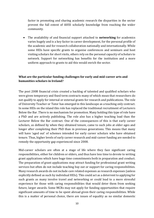factor in promoting and sharing academic research the disparities in the sector prevent the full extent of AHSS scholarly knowledge from reaching the wider community.

• The availability of and financial support attached to **networking** for academics varies hugely and is a key factor in career development, for the personal profile of the academic and for research collaboration nationally and internationally. While some HEIs have specific grants to organise conferences and seminars and host visiting scholars for short visits, others rely on the personal capacity of scholars to network. Support for networking has benefits for the institution and a more uniform approach to grants to aid this would enrich the sector.

## **What are the particular funding challenges for early and mid-career arts and humanities scholars in Ireland?**

The post 2008 financial crisis created a backlog of talented and qualified scholars who were given temporary and fixed term contracts many of which mean that researchers do not qualify to apply for internal or external grants for research and publications. The role of University Teacher or Tutor has emerged in this landscape as a teaching only contract. In some HEIs on the island this role has replaced the traditional recruitment of Lecturers Below the Bar .There is no mechanism for promotion. Many holding this type of role have a PhD and are actively publishing. The role also has a higher teaching load than the Lecturer Below the Bar contract. One of the consequences of this is that early career scholars, as defined by when they obtained tenure, came to such jobs at older ages and longer after completing their PhD than in previous generations. This means that many will have 'aged out' of schemes intended for early career scholars who have obtained tenure. Thus, higher levels of early career research and mid-career funding are needed to remedy the opportunity gap experienced since 2008.

Mid-career scholars are often at a stage of life where they face significant caring responsibilities, either for children or elders, and thus have less time to devote to writing grant applications which have huge time commitments both in preparation and conduct. The preparation of grant applications may attract funding for professional grant writing services but often do not include teaching buy out or support for caring responsibilities. Many research awards do not include care related expenses as research expenses (unless explicitly defined as such by individual HEIs). This could act as a deterrent to applying for such grants as many involve travel and networking or could lead to a more stressful experience for those with caring responsibilities that would deter them from seeking future, larger awards. Some MCRs may not apply for funding opportunities that require significant amounts of time to be spent abroad given their caring responsibilities. While this is a matter of personal choice, there are issues of equality as no similar domestic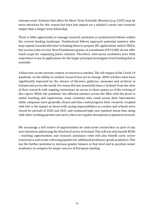schemes exist. Schemes that allow for Short Term Scientific Missions (e.g. COST) may be more attractive for this reason but have less impact on a scholar's career and research output than a longer term fellowship.

There is little opportunity to manage research assistants or postdoctoral fellows within the current funding landscape. Postdoctoral fellows approach potential mentors who may expend considerable time in helping them to prepare IRC applications and/or MSCA, but success rates are low. New Foundations grants, at a maximum of €15,000, do not offer much scope for employing junior scholars. Therefore, mid-career academics have little experience to use in applications for the larger principal investigator level funding that is available.

A final note on the present context of research is needed. The full impact of the Covid-19 pandemic on the ability to conduct research has yet to emerge. AHSS scholars have been significantly impacted by the closure of libraries, galleries, museums and archives in Ireland and across the world. For many this has essentially been a 'lockout' from the sites of their research with ongoing restrictions on access to these spaces as of the writing of this report. While the pandemic has affected scholars across the HEIs with the pivot to online teaching and supervision, some scientists who could access their laboratories while campuses were generally closed and thus could progress their research. Coupled with this is the impact on those with caring responsibilities as creches and schools were closed for periods of 2020 and 2021 and continued high case numbers mean that, along with other working parents and carers, there are regular disruptions to planned research.

We encourage a full review of opportunities for mid-career researchers as part of any new initiatives addressing the third level sector in Ireland. This will not only benefit MCRs – teaching opportunities and research assistance roles will also benefit early career researchers and create a thriving pipeline for additional professors grade academics. This has the further potential to increase gender balance at that level and to position senior academics to compete for larger sources of European funding.